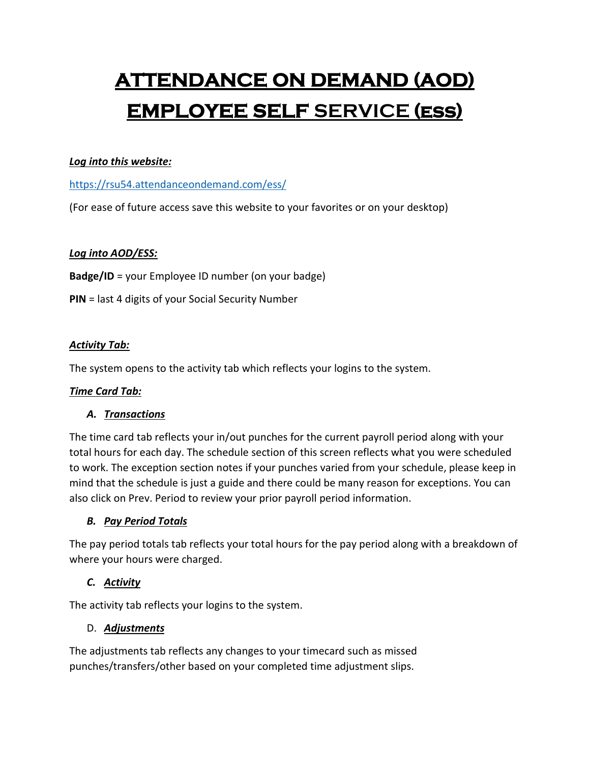# **ATTENDANCE ON DEMAND (AOD) EMPLOYEE SELF SERVICE (ess)**

## *Log into this website:*

<https://rsu54.attendanceondemand.com/ess/>

(For ease of future access save this website to your favorites or on your desktop)

#### *Log into AOD/ESS:*

**Badge/ID** = your Employee ID number (on your badge)

**PIN** = last 4 digits of your Social Security Number

#### *Activity Tab:*

The system opens to the activity tab which reflects your logins to the system.

#### *Time Card Tab:*

#### *A. Transactions*

The time card tab reflects your in/out punches for the current payroll period along with your total hours for each day. The schedule section of this screen reflects what you were scheduled to work. The exception section notes if your punches varied from your schedule, please keep in mind that the schedule is just a guide and there could be many reason for exceptions. You can also click on Prev. Period to review your prior payroll period information.

#### *B. Pay Period Totals*

The pay period totals tab reflects your total hours for the pay period along with a breakdown of where your hours were charged.

#### *C. Activity*

The activity tab reflects your logins to the system.

#### D. *Adjustments*

The adjustments tab reflects any changes to your timecard such as missed punches/transfers/other based on your completed time adjustment slips.